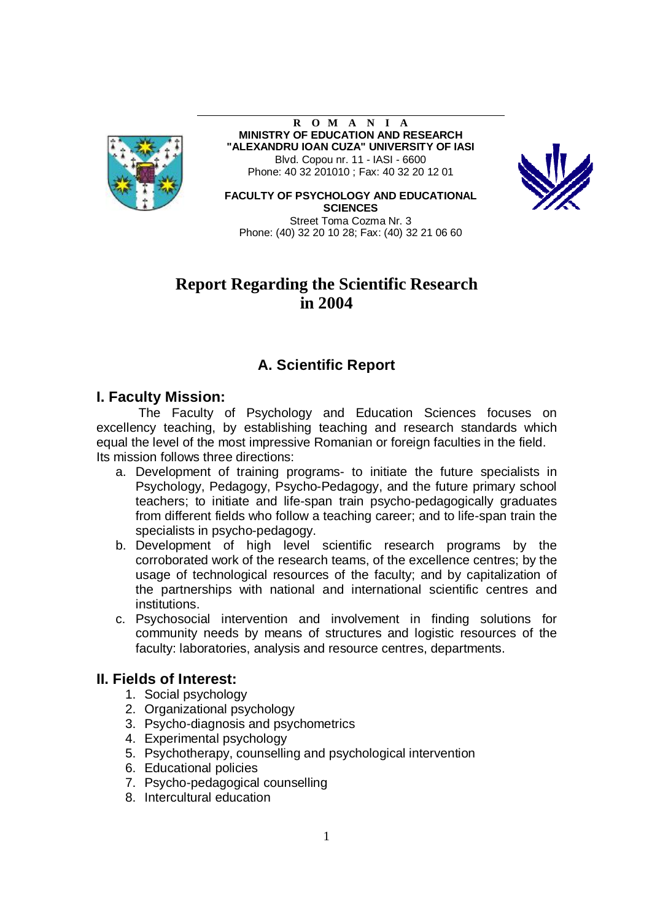

**R O M A N I A MINISTRY OF EDUCATION AND RESEARCH "ALEXANDRU IOAN CUZA" UNIVERSITY OF IASI**  Blvd. Copou nr. 11 - IASI - 6600 Phone: 40 32 201010 ; Fax: 40 32 20 12 01



**FACULTY OF PSYCHOLOGY AND EDUCATIONAL SCIENCES**  Street Toma Cozma Nr. 3

Phone: (40) 32 20 10 28; Fax: (40) 32 21 06 60

# **Report Regarding the Scientific Research in 2004**

# **A. Scientific Report**

## **I. Faculty Mission:**

The Faculty of Psychology and Education Sciences focuses on excellency teaching, by establishing teaching and research standards which equal the level of the most impressive Romanian or foreign faculties in the field. Its mission follows three directions:

- a. Development of training programs- to initiate the future specialists in Psychology, Pedagogy, Psycho-Pedagogy, and the future primary school teachers; to initiate and life-span train psycho-pedagogically graduates from different fields who follow a teaching career; and to life-span train the specialists in psycho-pedagogy.
- b. Development of high level scientific research programs by the corroborated work of the research teams, of the excellence centres; by the usage of technological resources of the faculty; and by capitalization of the partnerships with national and international scientific centres and institutions.
- c. Psychosocial intervention and involvement in finding solutions for community needs by means of structures and logistic resources of the faculty: laboratories, analysis and resource centres, departments.

# **II. Fields of Interest:**

- 1. Social psychology
- 2. Organizational psychology
- 3. Psycho-diagnosis and psychometrics
- 4. Experimental psychology
- 5. Psychotherapy, counselling and psychological intervention
- 6. Educational policies
- 7. Psycho-pedagogical counselling
- 8. Intercultural education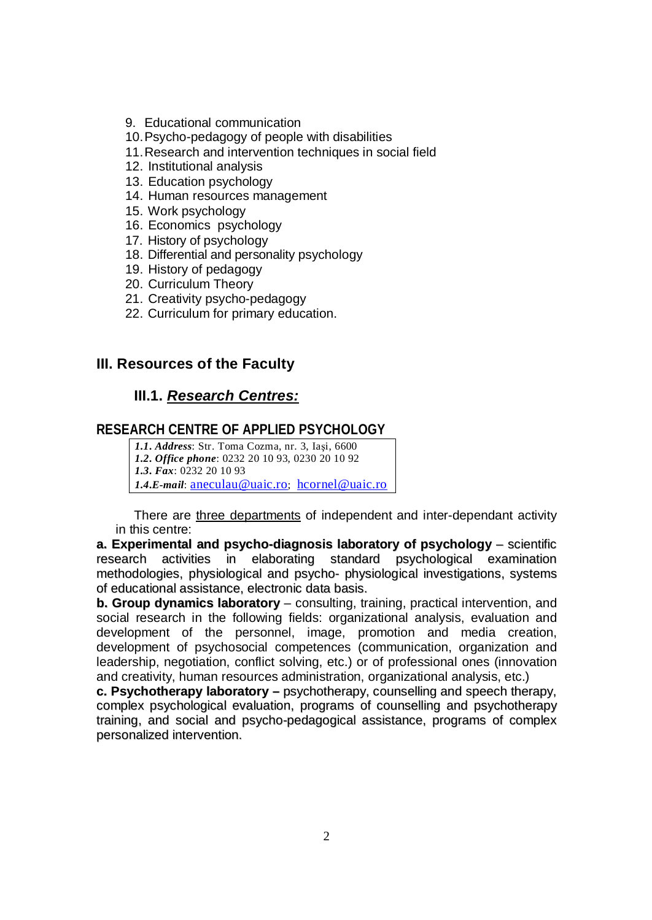- 9. Educational communication
- 10.Psycho-pedagogy of people with disabilities
- 11.Research and intervention techniques in social field
- 12. Institutional analysis
- 13. Education psychology
- 14. Human resources management
- 15. Work psychology
- 16. Economics psychology
- 17. History of psychology
- 18. Differential and personality psychology
- 19. History of pedagogy
- 20. Curriculum Theory
- 21. Creativity psycho-pedagogy
- 22. Curriculum for primary education.

## **III. Resources of the Faculty**

# **III.1.** *Research Centres:*

## **RESEARCH CENTRE OF APPLIED PSYCHOLOGY**

*1.1. Address*: Str. Toma Cozma, nr. 3, Iaşi, 6600 *1.2. Office phone*: 0232 20 10 93, 0230 20 10 92 *1.3. Fax*: 0232 20 10 93 *1.4.E-mail*: [aneculau@uaic.ro](mailto:aneculau@uaic.ro); [hcornel@uaic.ro](mailto:hcornel@uaic.ro)

There are three departments of independent and inter-dependant activity in this centre:

**a. Experimental and psycho-diagnosis laboratory of psychology** – scientific research activities in elaborating standard psychological examination methodologies, physiological and psycho- physiological investigations, systems of educational assistance, electronic data basis.

**b. Group dynamics laboratory** – consulting, training, practical intervention, and social research in the following fields: organizational analysis, evaluation and development of the personnel, image, promotion and media creation, development of psychosocial competences (communication, organization and leadership, negotiation, conflict solving, etc.) or of professional ones (innovation and creativity, human resources administration, organizational analysis, etc.)

**c. Psychotherapy laboratory –** psychotherapy, counselling and speech therapy, complex psychological evaluation, programs of counselling and psychotherapy training, and social and psycho-pedagogical assistance, programs of complex personalized intervention.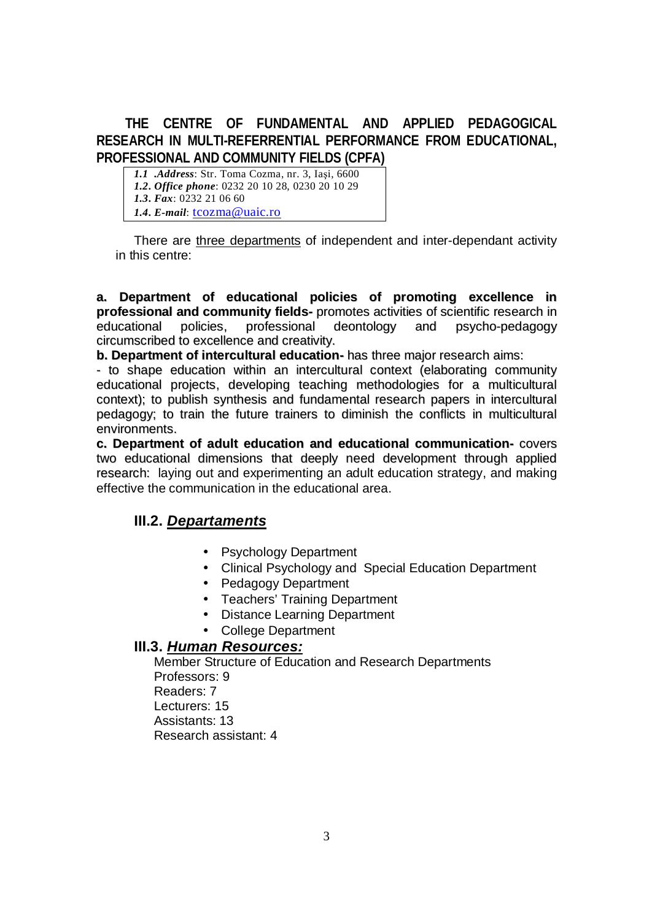# **THE CENTRE OF FUNDAMENTAL AND APPLIED PEDAGOGICAL RESEARCH IN MULTI-REFERRENTIAL PERFORMANCE FROM EDUCATIONAL, PROFESSIONAL AND COMMUNITY FIELDS (CPFA)**

*1.1 .Address*: Str. Toma Cozma, nr. 3, Iaşi, 6600 *1.2. Office phone*: 0232 20 10 28, 0230 20 10 29 *1.3. Fax*: 0232 21 06 60 *1.4. E-mail*: [tcozma@uaic.ro](mailto:tcozma@uaic.ro)

There are three departments of independent and inter-dependant activity in this centre:

**a. Department of educational policies of promoting excellence in professional and community fields-** promotes activities of scientific research in educational policies, professional deontology and psycho-pedagogy circumscribed to excellence and creativity.

**b. Department of intercultural education-** has three major research aims:

- to shape education within an intercultural context (elaborating community educational projects, developing teaching methodologies for a multicultural context); to publish synthesis and fundamental research papers in intercultural pedagogy; to train the future trainers to diminish the conflicts in multicultural environments.

**c. Department of adult education and educational communication-** covers two educational dimensions that deeply need development through applied research: laying out and experimenting an adult education strategy, and making effective the communication in the educational area.

# **III.2.** *Departaments*

- Psychology Department
- Clinical Psychology and Special Education Department
- Pedagogy Department
- Teachers' Training Department
- Distance Learning Department
- College Department

## **III.3.** *Human Resources:*

Member Structure of Education and Research Departments Professors: 9 Readers: 7 Lecturers: 15 Assistants: 13 Research assistant: 4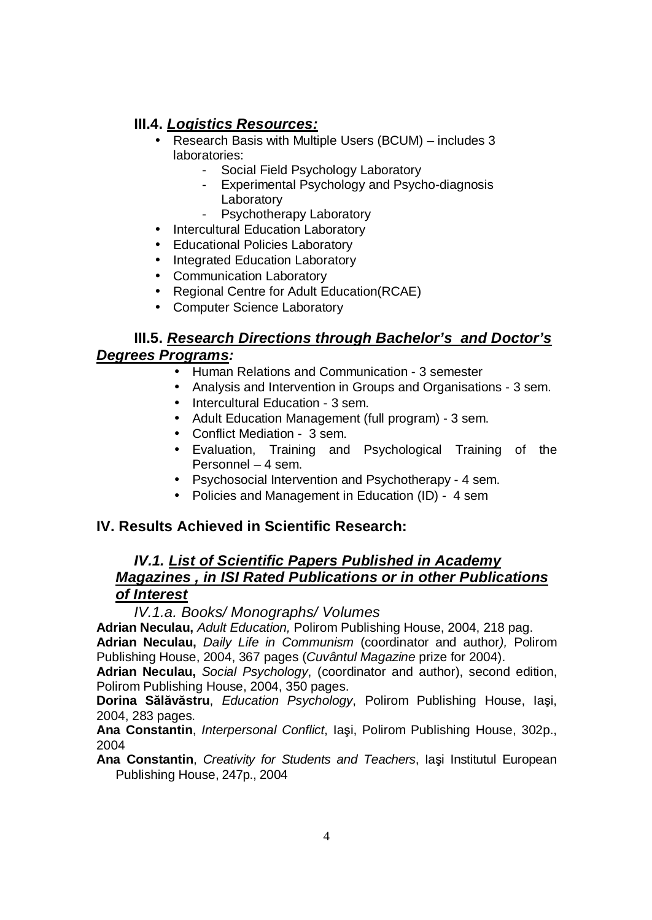# **III.4.** *Logistics Resources:*

- Research Basis with Multiple Users (BCUM) includes 3 laboratories:
	- Social Field Psychology Laboratory
	- Experimental Psychology and Psycho-diagnosis **Laboratory**
	- Psychotherapy Laboratory
- Intercultural Education Laboratory
- Educational Policies Laboratory
- Integrated Education Laboratory
- Communication Laboratory
- Regional Centre for Adult Education(RCAE)
- Computer Science Laboratory

# **III.5.** *Research Directions through Bachelor's and Doctor's Degrees Programs:*

- Human Relations and Communication 3 semester
- Analysis and Intervention in Groups and Organisations 3 sem.
- Intercultural Education 3 sem.
- Adult Education Management (full program) 3 sem.
- Conflict Mediation 3 sem.
- Evaluation, Training and Psychological Training of the Personnel – 4 sem.
- Psychosocial Intervention and Psychotherapy 4 sem.
- Policies and Management in Education (ID) 4 sem

# **IV. Results Achieved in Scientific Research:**

# *IV.1. List of Scientific Papers Published in Academy Magazines , in ISI Rated Publications or in other Publications of Interest*

*IV.1.a. Books/ Monographs/ Volumes* 

**Adrian Neculau,** *Adult Education,* Polirom Publishing House, 2004, 218 pag.

**Adrian Neculau,** *Daily Life in Communism* (coordinator and author*),* Polirom Publishing House, 2004, 367 pages (*Cuvântul Magazine* prize for 2004).

**Adrian Neculau,** *Social Psychology*, (coordinator and author), second edition, Polirom Publishing House, 2004, 350 pages.

**Dorina Sălăvăstru**, *Education Psychology*, Polirom Publishing House, Iaşi, 2004, 283 pages.

**Ana Constantin**, *Interpersonal Conflict*, Iaşi, Polirom Publishing House, 302p., 2004

**Ana Constantin**, *Creativity for Students and Teachers*, Iaşi Institutul European Publishing House, 247p., 2004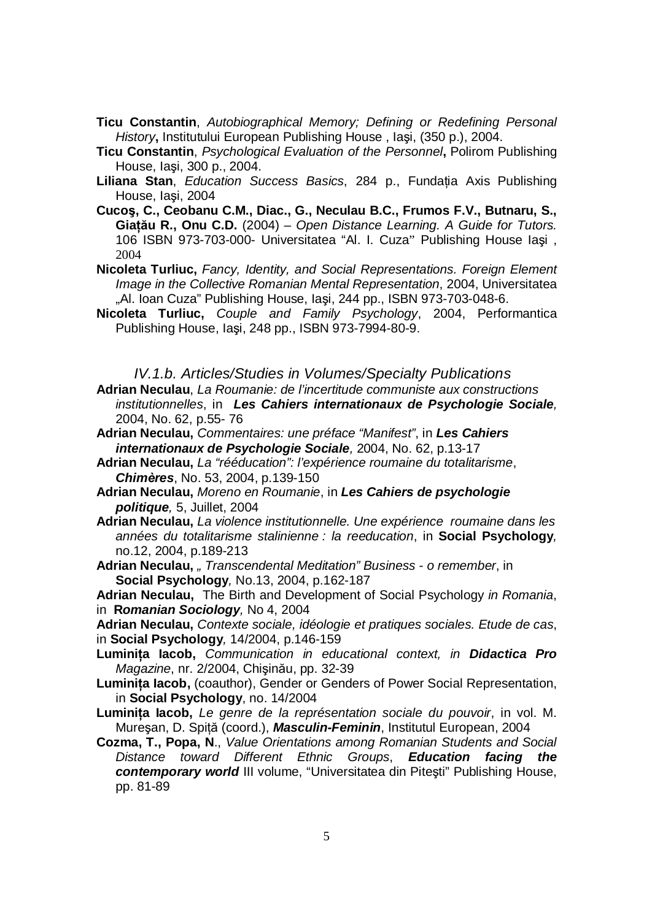- **Ticu Constantin**, *Autobiographical Memory; Defining or Redefining Personal History***,** Institutului European Publishing House , Iaşi, (350 p.), 2004.
- **Ticu Constantin**, *Psychological Evaluation of the Personnel***,** Polirom Publishing House, Iaşi, 300 p., 2004.
- **Liliana Stan**, *Education Success Basics*, 284 p., Fundaţia Axis Publishing House, Iaşi, 2004
- **Cucoş, C., Ceobanu C.M., Diac., G., Neculau B.C., Frumos F.V., Butnaru, S., Giaţău R., Onu C.D.** (2004) – *Open Distance Learning. A Guide for Tutors.* 106 ISBN 973-703-000- Universitatea "Al. I. Cuza" Publishing House Iaşi , 2004
- **Nicoleta Turliuc,** *Fancy, Identity, and Social Representations. Foreign Element Image in the Collective Romanian Mental Representation*, 2004, Universitatea "Al. Ioan Cuza" Publishing House, Iaşi, 244 pp., ISBN 973-703-048-6.
- **Nicoleta Turliuc,** *Couple and Family Psychology*, 2004, Performantica Publishing House, Iaşi, 248 pp., ISBN 973-7994-80-9.

*IV.1.b. Articles/Studies in Volumes/Specialty Publications* 

**Adrian Neculau**, *La Roumanie: de l'incertitude communiste aux constructions institutionnelles*, in *Les Cahiers internationaux de Psychologie Sociale,*  2004, No. 62, p.55- 76

**Adrian Neculau,** *Commentaires: une préface "Manifest"*, in *Les Cahiers internationaux de Psychologie Sociale,* 2004, No. 62, p.13-17

- **Adrian Neculau,** *La "rééducation": l'expérience roumaine du totalitarisme*, *Chimères*, No. 53, 2004, p.139-150
- **Adrian Neculau,** *Moreno en Roumanie*, in *Les Cahiers de psychologie politique,* 5, Juillet, 2004
- **Adrian Neculau,** *La violence institutionnelle. Une expérience roumaine dans les années du totalitarisme stalinienne : la reeducation*, in **Social Psychology***,*  no.12, 2004, p.189-213
- **Adrian Neculau,** *" Transcendental Meditation" Business - o remember*, in **Social Psychology***,* No.13, 2004, p.162-187

**Adrian Neculau,** The Birth and Development of Social Psychology *in Romania*, in **R***omanian Sociology,* No 4, 2004

**Adrian Neculau,** *Contexte sociale, idéologie et pratiques sociales. Etude de cas*, in **Social Psychology***,* 14/2004, p.146-159

- **Luminiţa Iacob,** *Communication in educational context, in Didactica Pro Magazine*, nr. 2/2004, Chişinău, pp. 32-39
- **Luminiţa Iacob,** (coauthor), Gender or Genders of Power Social Representation, in **Social Psychology**, no. 14/2004
- **Luminiţa Iacob,** *Le genre de la représentation sociale du pouvoir*, in vol. M. Mureşan, D. Spiţă (coord.), *Masculin-Feminin*, Institutul European, 2004
- **Cozma, T., Popa, N**., *Value Orientations among Romanian Students and Social Distance toward Different Ethnic Groups*, *Education facing the contemporary world* III volume, "Universitatea din Piteşti" Publishing House, pp. 81-89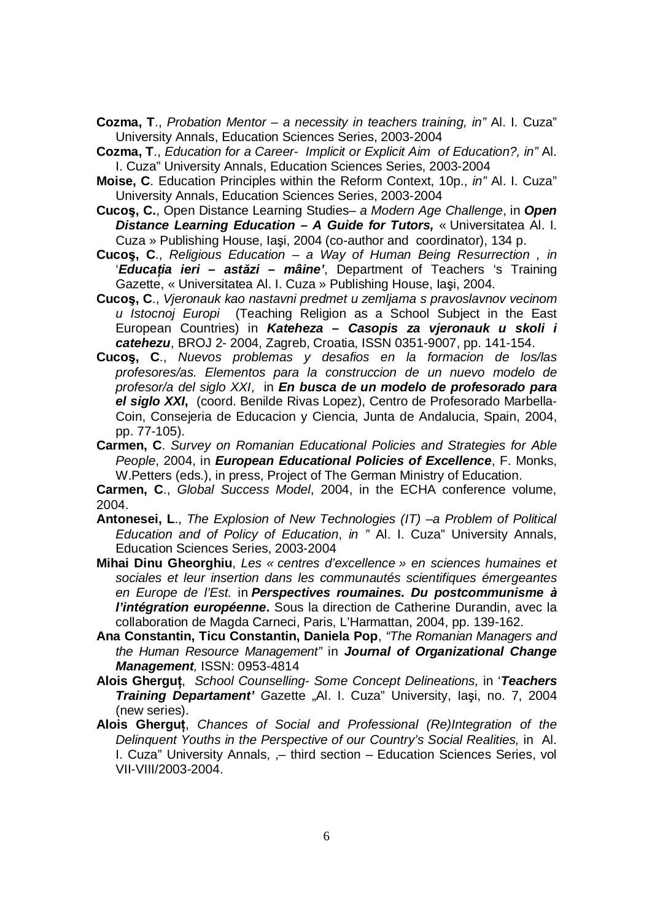- **Cozma, T**., *Probation Mentor – a necessity in teachers training, in"* Al. I. Cuza" University Annals, Education Sciences Series, 2003-2004
- **Cozma, T**., *Education for a Career- Implicit or Explicit Aim of Education?, in"* Al. I. Cuza" University Annals, Education Sciences Series, 2003-2004
- **Moise, C**. Education Principles within the Reform Context, 10p., *in"* Al. I. Cuza" University Annals, Education Sciences Series, 2003-2004
- **Cucoş, C.**, Open Distance Learning Studies*– a Modern Age Challenge*, in *Open Distance Learning Education – A Guide for Tutors,* « Universitatea Al. I. Cuza » Publishing House, Iaşi, 2004 (co-author and coordinator), 134 p.
- **Cucoş, C**., *Religious Education – a Way of Human Being Resurrection , in*  '*Educaţia ieri – astăzi – mâine'*, Department of Teachers 's Training Gazette, « Universitatea Al. I. Cuza » Publishing House, Iaşi, 2004.
- **Cucoş, C**., *Vjeronauk kao nastavni predmet u zemljama s pravoslavnov vecinom u Istocnoj Europi* (Teaching Religion as a School Subject in the East European Countries) in *Kateheza – Casopis za vjeronauk u skoli i catehezu*, BROJ 2- 2004, Zagreb, Croatia, ISSN 0351-9007, pp. 141-154.
- **Cucoş, C**., *Nuevos problemas y desafios en la formacion de los/las profesores/as. Elementos para la construccion de un nuevo modelo de profesor/a del siglo XXI*, in *En busca de un modelo de profesorado para el siglo XXI***,** (coord. Benilde Rivas Lopez), Centro de Profesorado Marbella-Coin, Consejeria de Educacion y Ciencia, Junta de Andalucia, Spain, 2004, pp. 77-105).
- **Carmen, C**. *Survey on Romanian Educational Policies and Strategies for Able People*, 2004, in *European Educational Policies of Excellence*, F. Monks, W.Petters (eds.), in press, Project of The German Ministry of Education.

**Carmen, C**., *Global Success Model*, 2004, in the ECHA conference volume, 2004.

- **Antonesei, L**., *The Explosion of New Technologies (IT) –a Problem of Political Education and of Policy of Education*, *in "* Al. I. Cuza" University Annals, Education Sciences Series, 2003-2004
- **Mihai Dinu Gheorghiu**, *Les « centres d'excellence » en sciences humaines et sociales et leur insertion dans les communautés scientifiques émergeantes en Europe de l'Est.* in *Perspectives roumaines. Du postcommunisme à l'intégration européenne*. Sous la direction de Catherine Durandin, avec la collaboration de Magda Carneci, Paris, L'Harmattan, 2004, pp. 139-162.
- **Ana Constantin, Ticu Constantin, Daniela Pop**, *"The Romanian Managers and the Human Resource Management"* in *Journal of Organizational Change Management,* ISSN: 0953-4814
- **Alois Gherguţ**, *School Counselling- Some Concept Delineations,* in '*Teachers*  **Training Departament'** Gazette "Al. I. Cuza" University, Iași, no. 7, 2004 (new series).
- **Alois Gherguţ**, *Chances of Social and Professional (Re)Integration of the Delinquent Youths in the Perspective of our Country's Social Realities,* in Al. I. Cuza" University Annals, ,– third section – Education Sciences Series, vol VII-VIII/2003-2004.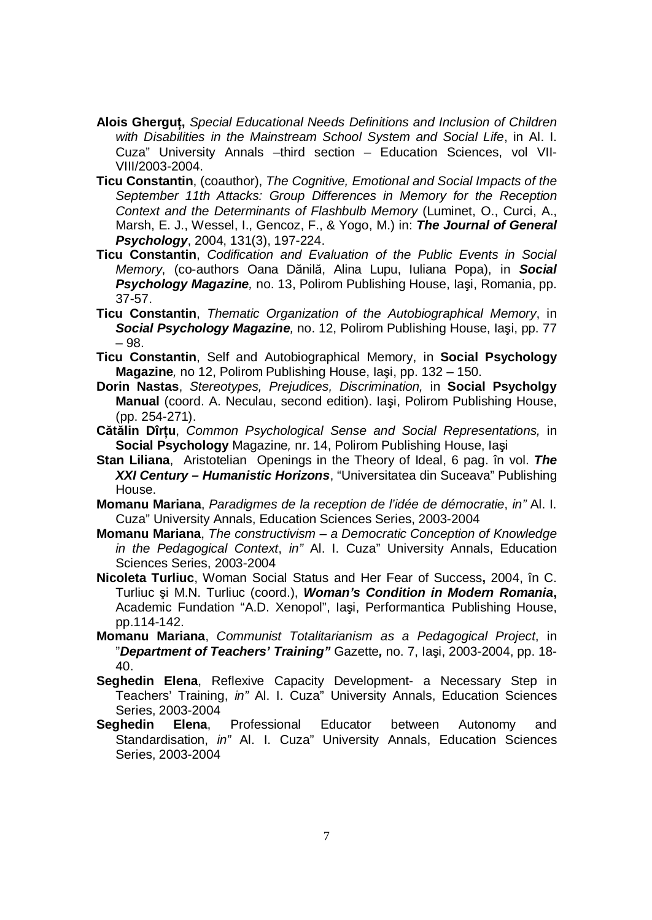- **Alois Gherguţ,** *Special Educational Needs Definitions and Inclusion of Children with Disabilities in the Mainstream School System and Social Life*, in Al. I. Cuza" University Annals –third section – Education Sciences, vol VII-VIII/2003-2004.
- **Ticu Constantin**, (coauthor), *The Cognitive, Emotional and Social Impacts of the September 11th Attacks: Group Differences in Memory for the Reception Context and the Determinants of Flashbulb Memory* (Luminet, O., Curci, A., Marsh, E. J., Wessel, I., Gencoz, F., & Yogo, M.) in: *The Journal of General Psychology*, 2004, 131(3), 197-224.
- **Ticu Constantin**, *Codification and Evaluation of the Public Events in Social Memory*, (co-authors Oana Dănilă, Alina Lupu, Iuliana Popa), in *Social Psychology Magazine,* no. 13, Polirom Publishing House, Iaşi, Romania, pp. 37-57.
- **Ticu Constantin**, *Thematic Organization of the Autobiographical Memory*, in *Social Psychology Magazine,* no. 12, Polirom Publishing House, Iaşi, pp. 77 – 98.
- **Ticu Constantin**, Self and Autobiographical Memory, in **Social Psychology Magazine***,* no 12, Polirom Publishing House, Iaşi, pp. 132 – 150.
- **Dorin Nastas**, *Stereotypes, Prejudices, Discrimination,* in **Social Psycholgy Manual** (coord. A. Neculau, second edition). Iaşi, Polirom Publishing House, (pp. 254-271).
- **Cătălin Dîrţu**, *Common Psychological Sense and Social Representations,* in **Social Psychology** Magazine*,* nr. 14, Polirom Publishing House, Iaşi
- **Stan Liliana**, Aristotelian Openings in the Theory of Ideal, 6 pag. în vol. *The XXI Century – Humanistic Horizons*, "Universitatea din Suceava" Publishing House.
- **Momanu Mariana**, *Paradigmes de la reception de l'idée de démocratie*, *in"* Al. I. Cuza" University Annals, Education Sciences Series, 2003-2004
- **Momanu Mariana**, *The constructivism – a Democratic Conception of Knowledge in the Pedagogical Context*, *in"* Al. I. Cuza" University Annals, Education Sciences Series, 2003-2004
- **Nicoleta Turliuc**, Woman Social Status and Her Fear of Success**,** 2004, în C. Turliuc şi M.N. Turliuc (coord.), *Woman's Condition in Modern Romania***,**  Academic Fundation "A.D. Xenopol", Iaşi, Performantica Publishing House, pp.114-142.
- **Momanu Mariana**, *Communist Totalitarianism as a Pedagogical Project*, in "*Department of Teachers' Training"* Gazette*,* no. 7, Iaşi, 2003-2004, pp. 18- 40.
- **Seghedin Elena**, Reflexive Capacity Development- a Necessary Step in Teachers' Training, *in"* Al. I. Cuza" University Annals, Education Sciences Series, 2003-2004
- **Seghedin Elena**, Professional Educator between Autonomy and Standardisation, *in"* Al. I. Cuza" University Annals, Education Sciences Series, 2003-2004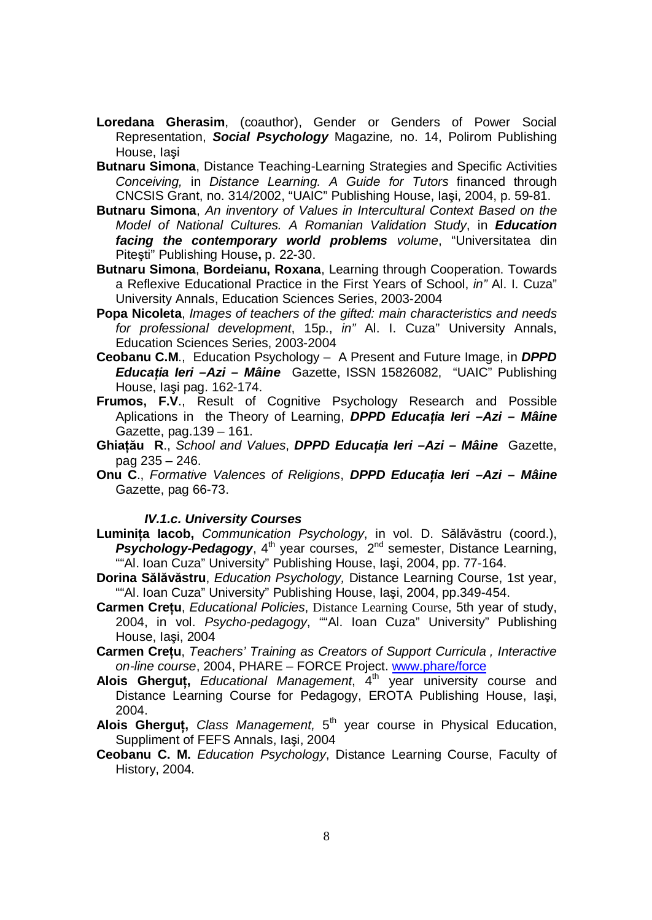- **Loredana Gherasim**, (coauthor), Gender or Genders of Power Social Representation, *Social Psychology* Magazine*,* no. 14, Polirom Publishing House, Iaşi
- **Butnaru Simona**, Distance Teaching-Learning Strategies and Specific Activities *Conceiving,* in *Distance Learning. A Guide for Tutors* financed through CNCSIS Grant, no. 314/2002, "UAIC" Publishing House, Iaşi, 2004, p. 59-81.
- **Butnaru Simona**, *An inventory of Values in Intercultural Context Based on the Model of National Cultures. A Romanian Validation Study*, in *Education facing the contemporary world problems volume*, "Universitatea din Piteşti" Publishing House**,** p. 22-30.
- **Butnaru Simona**, **Bordeianu, Roxana**, Learning through Cooperation. Towards a Reflexive Educational Practice in the First Years of School, *in"* Al. I. Cuza" University Annals, Education Sciences Series, 2003-2004
- **Popa Nicoleta**, *Images of teachers of the gifted: main characteristics and needs for professional development*, 15p., *in"* Al. I. Cuza" University Annals, Education Sciences Series, 2003-2004
- **Ceobanu C.M**., Education Psychology A Present and Future Image, in *DPPD Educaţia Ieri –Azi – Mâine* Gazette, ISSN 15826082, "UAIC" Publishing House, Iaşi pag. 162-174.
- **Frumos, F.V**., Result of Cognitive Psychology Research and Possible Aplications in the Theory of Learning, *DPPD Educaţia Ieri –Azi – Mâine*  Gazette, pag.139 – 161.
- **Ghiaţău R**., *School and Values*, *DPPD Educaţia Ieri –Azi – Mâine* Gazette, pag 235 – 246.
- **Onu C**., *Formative Valences of Religions*, *DPPD Educaţia Ieri –Azi – Mâine*  Gazette, pag 66-73.

#### *IV.1.c. University Courses*

- **Luminiţa Iacob,** *Communication Psychology*, in vol. D. Sălăvăstru (coord.), **Psychology-Pedagogy**, 4<sup>th</sup> year courses, 2<sup>nd</sup> semester, Distance Learning, ""Al. Ioan Cuza" University" Publishing House, Iaşi, 2004, pp. 77-164.
- **Dorina Sălăvăstru**, *Education Psychology,* Distance Learning Course, 1st year, ""Al. Ioan Cuza" University" Publishing House, Iaşi, 2004, pp.349-454.
- **Carmen Creţu**, *Educational Policies*, Distance Learning Course, 5th year of study, 2004, in vol. *Psycho-pedagogy*, ""Al. Ioan Cuza" University" Publishing House, Iaşi, 2004
- **Carmen Creţu**, *Teachers' Training as Creators of Support Curricula , Interactive on-line course*, 2004, PHARE – FORCE Project. www.phare/force
- **Alois Gherguţ,** *Educational Management*, 4th year university course and Distance Learning Course for Pedagogy, EROTA Publishing House, Iaşi, 2004.
- **Alois Gherguţ,** *Class Management,* 5 th year course in Physical Education, Suppliment of FEFS Annals, Iaşi, 2004
- **Ceobanu C. M.** *Education Psychology*, Distance Learning Course, Faculty of History, 2004.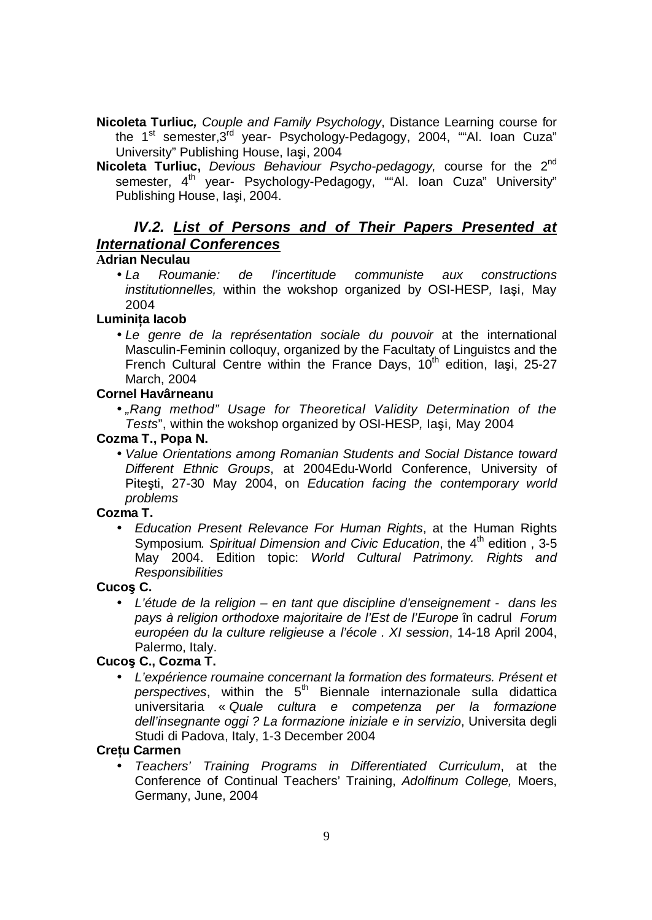- **Nicoleta Turliuc***, Couple and Family Psychology*, Distance Learning course for the 1<sup>st</sup> semester, 3<sup>rd</sup> year- Psychology-Pedagogy, 2004, ""Al. loan Cuza" University" Publishing House, Iaşi, 2004
- **Nicoleta Turliuc,** *Devious Behaviour Psycho-pedagogy,* course for the 2nd semester, 4<sup>th</sup> year- Psychology-Pedagogy, ""Al. Ioan Cuza" University" Publishing House, Iaşi, 2004.

# *IV.2. List of Persons and of Their Papers Presented at International Conferences*

#### **Adrian Neculau**

• *La Roumanie: de l'incertitude communiste aux constructions institutionnelles,* within the wokshop organized by OSI-HESP*,* Iaşi, May 2004

## **Luminiţa Iacob**

• *Le genre de la représentation sociale du pouvoir* at the international Masculin-Feminin colloquy, organized by the Facultaty of Linguistcs and the French Cultural Centre within the France Days,  $10<sup>th</sup>$  edition, Iasi, 25-27 March, 2004

## **Cornel Havârneanu**

• *"Rang method" Usage for Theoretical Validity Determination of the Tests*", within the wokshop organized by OSI-HESP*,* Iaşi, May 2004

## **Cozma T., Popa N.**

• *Value Orientations among Romanian Students and Social Distance toward Different Ethnic Groups*, at 2004Edu-World Conference, University of Piteşti, 27-30 May 2004, on *Education facing the contemporary world problems*

## **Cozma T.**

• *Education Present Relevance For Human Rights*, at the Human Rights Symposium*. Spiritual Dimension and Civic Education*, the 4th edition , 3-5 May 2004. Edition topic: *World Cultural Patrimony. Rights and Responsibilities* 

#### **Cucoş C.**

• *L'étude de la religion – en tant que discipline d'enseignement - dans les pays à religion orthodoxe majoritaire de l'Est de l'Europe* în cadrul *Forum européen du la culture religieuse a l'école . XI session*, 14-18 April 2004, Palermo, Italy.

## **Cucoş C., Cozma T.**

• *L'expérience roumaine concernant la formation des formateurs. Présent et perspectives*, within the 5th Biennale internazionale sulla didattica universitaria « *Quale cultura e competenza per la formazione dell'insegnante oggi ? La formazione iniziale e in servizio*, Universita degli Studi di Padova, Italy, 1-3 December 2004

## **Creţu Carmen**

• *Teachers' Training Programs in Differentiated Curriculum*, at the Conference of Continual Teachers' Training, *Adolfinum College,* Moers, Germany, June, 2004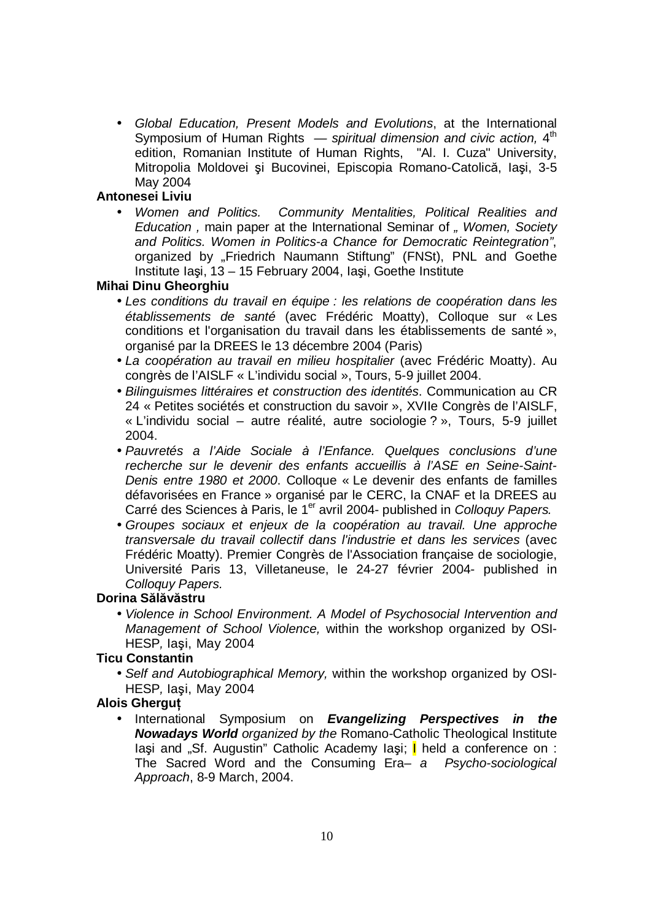• *Global Education, Present Models and Evolutions*, at the International Symposium of Human Rights *— spiritual dimension and civic action,* 4 th edition, Romanian Institute of Human Rights, "Al. I. Cuza" University, Mitropolia Moldovei şi Bucovinei, Episcopia Romano-Catolică, Iaşi, 3-5 May 2004

#### **Antonesei Liviu**

• *Women and Politics. Community Mentalities, Political Realities and Education ,* main paper at the International Seminar of *" Women, Society and Politics. Women in Politics-a Chance for Democratic Reintegration"*, organized by "Friedrich Naumann Stiftung" (FNSt), PNL and Goethe Institute Iaşi, 13 – 15 February 2004, Iaşi, Goethe Institute

#### **Mihai Dinu Gheorghiu**

- *Les conditions du travail en équipe : les relations de coopération dans les établissements de santé* (avec Frédéric Moatty), Colloque sur « Les conditions et l'organisation du travail dans les établissements de santé », organisé par la DREES le 13 décembre 2004 (Paris)
- *La coopération au travail en milieu hospitalier* (avec Frédéric Moatty). Au congrès de l'AISLF « L'individu social », Tours, 5-9 juillet 2004.
- *Bilinguismes littéraires et construction des identités*. Communication au CR 24 « Petites sociétés et construction du savoir », XVIIe Congrès de l'AISLF, « L'individu social – autre réalité, autre sociologie ? », Tours, 5-9 juillet 2004.
- *Pauvretés a l'Aide Sociale à l'Enfance. Quelques conclusions d'une recherche sur le devenir des enfants accueillis à l'ASE en Seine-Saint-Denis entre 1980 et 2000*. Colloque « Le devenir des enfants de familles défavorisées en France » organisé par le CERC, la CNAF et la DREES au Carré des Sciences à Paris, le 1<sup>er</sup> avril 2004- published in *Colloquy Papers.*
- *Groupes sociaux et enjeux de la coopération au travail. Une approche transversale du travail collectif dans l'industrie et dans les services* (avec Frédéric Moatty). Premier Congrès de l'Association française de sociologie, Université Paris 13, Villetaneuse, le 24-27 février 2004- published in *Colloquy Papers.*

#### **Dorina Sălăvăstru**

• *Violence in School Environment. A Model of Psychosocial Intervention and Management of School Violence,* within the workshop organized by OSI-HESP*,* Iaşi, May 2004

#### **Ticu Constantin**

• *Self and Autobiographical Memory,* within the workshop organized by OSI-HESP*,* Iaşi, May 2004

#### **Alois Gherguţ**

• International Symposium on *Evangelizing Perspectives in the Nowadays World organized by the* Romano-Catholic Theological Institute Iaşi and "Sf. Augustin" Catholic Academy Iaşi; *I* held a conference on : The Sacred Word and the Consuming Era*– a Psycho-sociological Approach*, 8-9 March, 2004.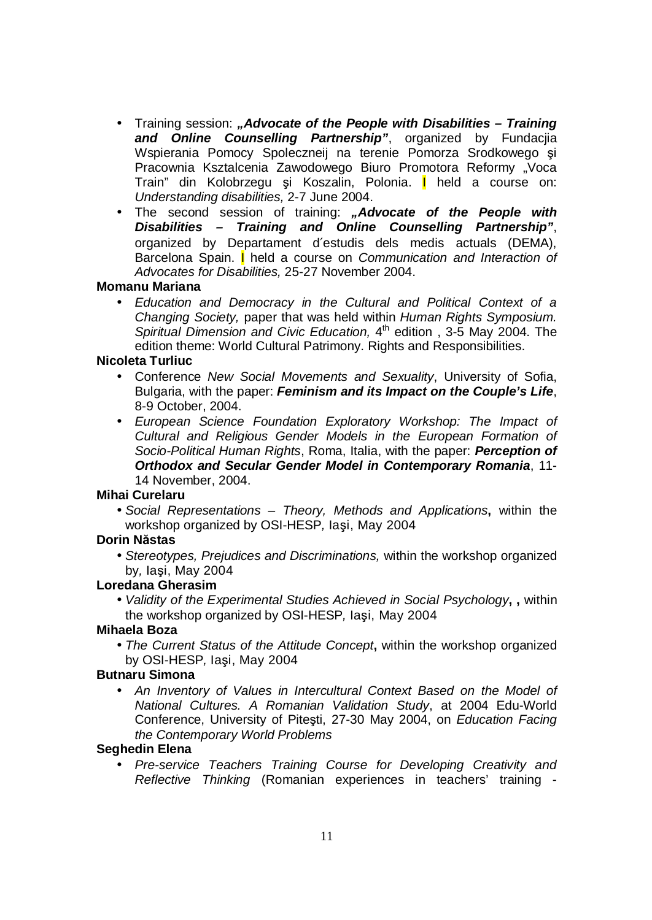- Training session: *"Advocate of the People with Disabilities – Training and Online Counselling Partnership"*, organized by Fundacjia Wspierania Pomocy Spoleczneij na terenie Pomorza Srodkowego şi Pracownia Ksztalcenia Zawodowego Biuro Promotora Reformy "Voca Train" din Kolobrzegu şi Koszalin, Polonia. I held a course on: *Understanding disabilities,* 2-7 June 2004.
- The second session of training: *"Advocate of the People with Disabilities – Training and Online Counselling Partnership"*, organized by Departament d′estudis dels medis actuals (DEMA), Barcelona Spain. I held a course on *Communication and Interaction of Advocates for Disabilities,* 25-27 November 2004.

#### **Momanu Mariana**

• *Education and Democracy in the Cultural and Political Context of a Changing Society,* paper that was held within *Human Rights Symposium. Spiritual Dimension and Civic Education,* 4 th edition , 3-5 May 2004. The edition theme: World Cultural Patrimony. Rights and Responsibilities.

#### **Nicoleta Turliuc**

- Conference *New Social Movements and Sexuality*, University of Sofia, Bulgaria, with the paper: *Feminism and its Impact on the Couple's Life*, 8-9 October, 2004.
- *European Science Foundation Exploratory Workshop: The Impact of Cultural and Religious Gender Models in the European Formation of Socio-Political Human Rights*, Roma, Italia, with the paper: *Perception of Orthodox and Secular Gender Model in Contemporary Romania*, 11- 14 November, 2004.

#### **Mihai Curelaru**

• *Social Representations – Theory, Methods and Applications***,** within the workshop organized by OSI-HESP*,* Iaşi, May 2004

#### **Dorin Năstas**

• *Stereotypes, Prejudices and Discriminations,* within the workshop organized by*,* Iaşi, May 2004

#### **Loredana Gherasim**

• *Validity of the Experimental Studies Achieved in Social Psychology***, ,** within the workshop organized by OSI-HESP*,* Iaşi, May 2004

#### **Mihaela Boza**

• *The Current Status of the Attitude Concept***,** within the workshop organized by OSI-HESP*,* Iaşi, May 2004

#### **Butnaru Simona**

• *An Inventory of Values in Intercultural Context Based on the Model of National Cultures. A Romanian Validation Study*, at 2004 Edu-World Conference, University of Piteşti, 27-30 May 2004, on *Education Facing the Contemporary World Problems*

#### **Seghedin Elena**

• *Pre-service Teachers Training Course for Developing Creativity and Reflective Thinking* (Romanian experiences in teachers' training -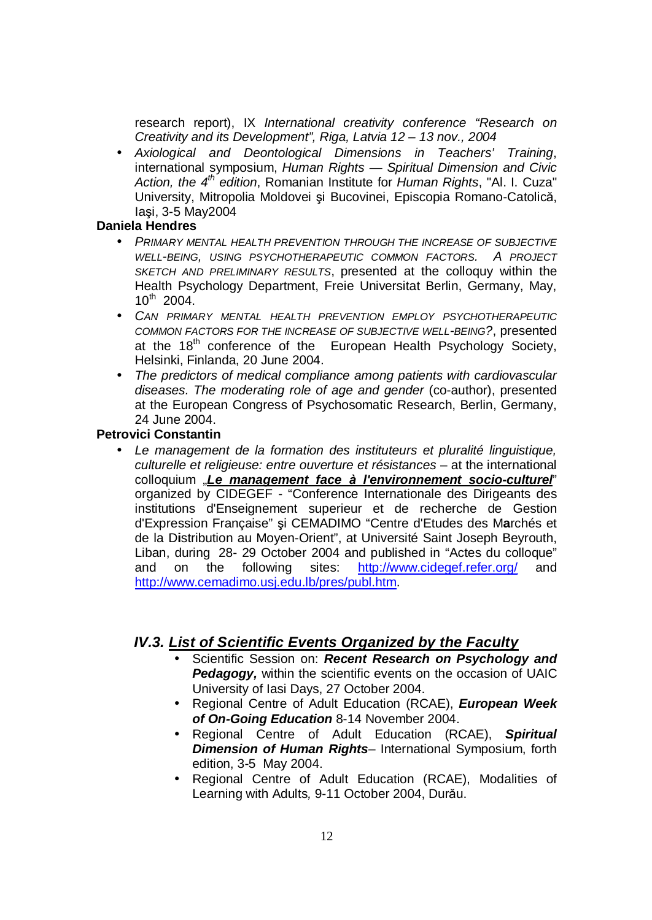research report), IX *International creativity conference "Research on Creativity and its Development", Riga, Latvia 12 – 13 nov., 2004*

• *Axiological and Deontological Dimensions in Teachers' Training*, international symposium, *Human Rights — Spiritual Dimension and Civic Action, the 4th edition*, Romanian Institute for *Human Rights*, "Al. I. Cuza" University, Mitropolia Moldovei şi Bucovinei, Episcopia Romano-Catolică, Iaşi, 3-5 May2004

#### **Daniela Hendres**

- *PRIMARY MENTAL HEALTH PREVENTION THROUGH THE INCREASE OF SUBJECTIVE WELL-BEING, USING PSYCHOTHERAPEUTIC COMMON FACTORS. A PROJECT SKETCH AND PRELIMINARY RESULTS*, presented at the colloquy within the Health Psychology Department, Freie Universitat Berlin, Germany, May,  $10^{th}$  2004.
- *CAN PRIMARY MENTAL HEALTH PREVENTION EMPLOY PSYCHOTHERAPEUTIC COMMON FACTORS FOR THE INCREASE OF SUBJECTIVE WELL-BEING?*, presented at the  $18<sup>th</sup>$  conference of the European Health Psychology Society, Helsinki, Finlanda, 20 June 2004.
- *The predictors of medical compliance among patients with cardiovascular diseases. The moderating role of age and gender* (co-author), presented at the European Congress of Psychosomatic Research, Berlin, Germany, 24 June 2004.

#### **Petrovici Constantin**

• *Le management de la formation des instituteurs et pluralité linguistique, culturelle et religieuse: entre ouverture et résistances* – at the international colloquium "*Le management face à l'environnement socio-culturel*" organized by CIDEGEF - "Conference Internationale des Dirigeants des institutions d'Enseignement superieur et de recherche de Gestion d'Expression Française" şi CEMADIMO "Centre d'Etudes des M**a**rchés et de la D**i**stribution au Moyen-Orient", at Université Saint Joseph Beyrouth, Liban, during 28- 29 October 2004 and published in "Actes du colloque" and on the following sites: <http://www.cidegef.refer.org/> and <http://www.cemadimo.usj.edu.lb/pres/publ.htm>.

## *IV.3. List of Scientific Events Organized by the Faculty*

- Scientific Session on: *Recent Research on Psychology and*  **Pedagogy,** within the scientific events on the occasion of UAIC University of Iasi Days, 27 October 2004.
- Regional Centre of Adult Education (RCAE), *European Week of On-Going Education* 8-14 November 2004.
- Regional Centre of Adult Education (RCAE), *Spiritual Dimension of Human Rights*– International Symposium, forth edition, 3-5 May 2004.
- Regional Centre of Adult Education (RCAE), Modalities of Learning with Adults*,* 9-11 October 2004, Durău.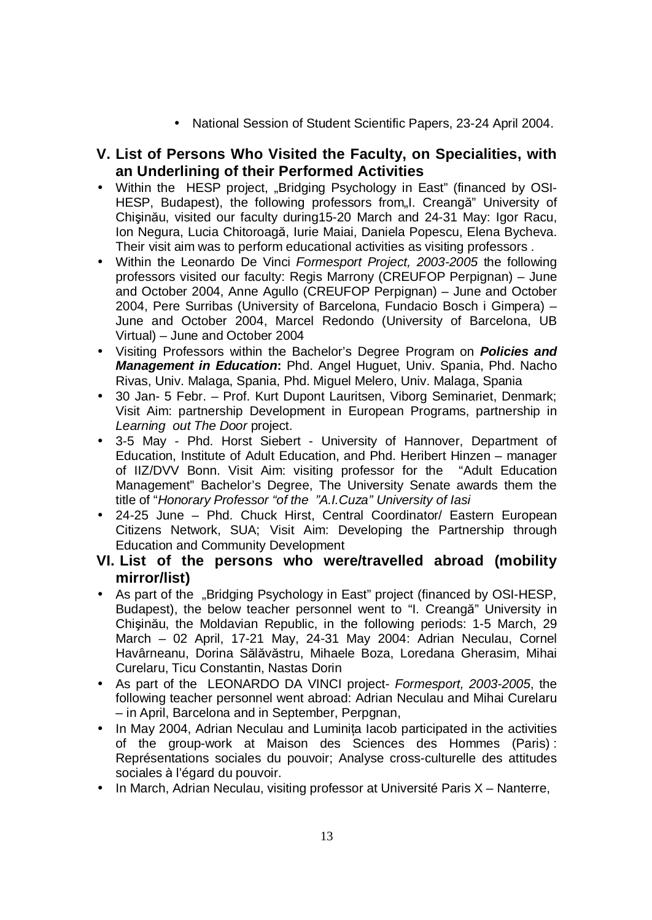• National Session of Student Scientific Papers, 23-24 April 2004.

# **V. List of Persons Who Visited the Faculty, on Specialities, with an Underlining of their Performed Activities**

- Within the HESP project, "Bridging Psychology in East" (financed by OSI-HESP, Budapest), the following professors from, I. Creangă" University of Chişinău, visited our faculty during15-20 March and 24-31 May: Igor Racu, Ion Negura, Lucia Chitoroagă, Iurie Maiai, Daniela Popescu, Elena Bycheva. Their visit aim was to perform educational activities as visiting professors .
- Within the Leonardo De Vinci *Formesport Project, 2003-2005* the following professors visited our faculty: Regis Marrony (CREUFOP Perpignan) – June and October 2004, Anne Agullo (CREUFOP Perpignan) – June and October 2004, Pere Surribas (University of Barcelona, Fundacio Bosch i Gimpera) – June and October 2004, Marcel Redondo (University of Barcelona, UB Virtual) – June and October 2004
- Visiting Professors within the Bachelor's Degree Program on *Policies and Management in Education***:** Phd. Angel Huguet, Univ. Spania, Phd. Nacho Rivas, Univ. Malaga, Spania, Phd. Miguel Melero, Univ. Malaga, Spania
- 30 Jan- 5 Febr. Prof. Kurt Dupont Lauritsen, Viborg Seminariet, Denmark; Visit Aim: partnership Development in European Programs, partnership in *Learning out The Door* project.
- 3-5 May Phd. Horst Siebert University of Hannover, Department of Education, Institute of Adult Education, and Phd. Heribert Hinzen – manager of IIZ/DVV Bonn. Visit Aim: visiting professor for the "Adult Education Management" Bachelor's Degree, The University Senate awards them the title of "*Honorary Professor "of the "A.I.Cuza" University of Iasi*
- 24-25 June Phd. Chuck Hirst, Central Coordinator/ Eastern European Citizens Network, SUA; Visit Aim: Developing the Partnership through Education and Community Development

## **VI. List of the persons who were/travelled abroad (mobility mirror/list)**

- As part of the "Bridging Psychology in East" project (financed by OSI-HESP, Budapest), the below teacher personnel went to "I. Creangă" University in Chişinău, the Moldavian Republic, in the following periods: 1-5 March, 29 March – 02 April, 17-21 May, 24-31 May 2004: Adrian Neculau, Cornel Havârneanu, Dorina Sălăvăstru, Mihaele Boza, Loredana Gherasim, Mihai Curelaru, Ticu Constantin, Nastas Dorin
- As part of the LEONARDO DA VINCI project- *Formesport, 2003-2005*, the following teacher personnel went abroad: Adrian Neculau and Mihai Curelaru – in April, Barcelona and in September, Perpgnan,
- In May 2004, Adrian Neculau and Luminita Iacob participated in the activities of the group-work at Maison des Sciences des Hommes (Paris) : Représentations sociales du pouvoir; Analyse cross-culturelle des attitudes sociales à l'égard du pouvoir.
- In March, Adrian Neculau, visiting professor at Université Paris X Nanterre,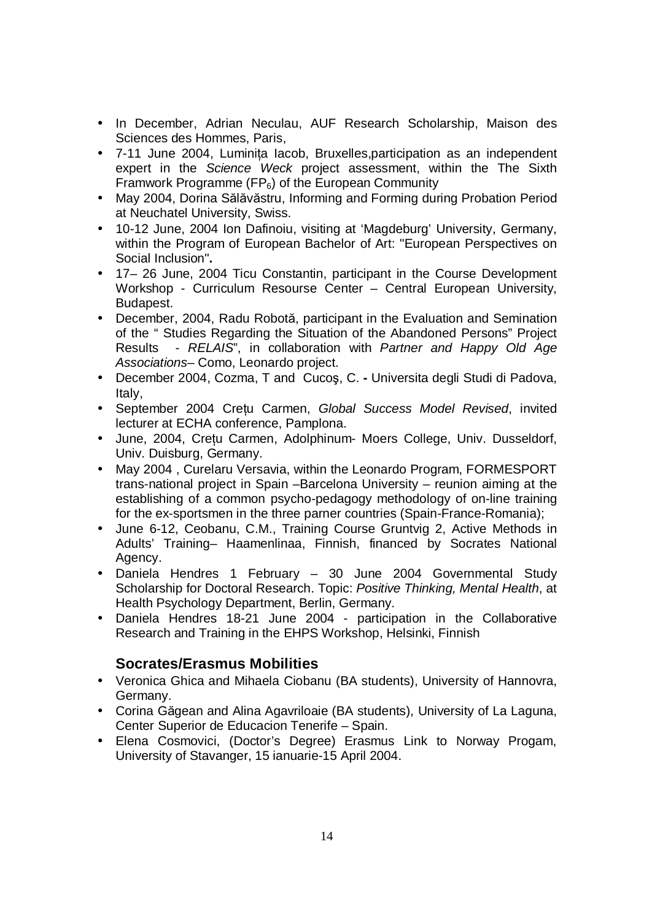- In December, Adrian Neculau, AUF Research Scholarship, Maison des Sciences des Hommes, Paris,
- 7-11 June 2004, Luminiţa Iacob, Bruxelles,participation as an independent expert in the *Science Weck* project assessment, within the The Sixth Framwork Programme (FP $_6$ ) of the European Community
- May 2004, Dorina Sălăvăstru, Informing and Forming during Probation Period at Neuchatel University, Swiss.
- 10-12 June, 2004 Ion Dafinoiu, visiting at 'Magdeburg' University, Germany, within the Program of European Bachelor of Art: "European Perspectives on Social Inclusion"**.**
- 17– 26 June, 2004 Ticu Constantin, participant in the Course Development Workshop - Curriculum Resourse Center – Central European University, Budapest.
- December, 2004, Radu Robotă, participant in the Evaluation and Semination of the " Studies Regarding the Situation of the Abandoned Persons" Project Results - *RELAIS*", in collaboration with *Partner and Happy Old Age Associations–* Como, Leonardo project.
- December 2004, Cozma, T and Cucoş, C. Universita degli Studi di Padova, Italy,
- September 2004 Creţu Carmen, *Global Success Model Revised*, invited lecturer at ECHA conference, Pamplona.
- June, 2004, Creţu Carmen, Adolphinum- Moers College, Univ. Dusseldorf, Univ. Duisburg, Germany.
- May 2004 , Curelaru Versavia, within the Leonardo Program, FORMESPORT trans-national project in Spain –Barcelona University – reunion aiming at the establishing of a common psycho-pedagogy methodology of on-line training for the ex-sportsmen in the three parner countries (Spain-France-Romania);
- June 6-12, Ceobanu, C.M., Training Course Gruntvig 2, Active Methods in Adults' Training– Haamenlinaa, Finnish, financed by Socrates National Agency.
- Daniela Hendres 1 February 30 June 2004 Governmental Study Scholarship for Doctoral Research. Topic: *Positive Thinking, Mental Health*, at Health Psychology Department, Berlin, Germany.
- Daniela Hendres 18-21 June 2004 participation in the Collaborative Research and Training in the EHPS Workshop, Helsinki, Finnish

# **Socrates/Erasmus Mobilities**

- Veronica Ghica and Mihaela Ciobanu (BA students), University of Hannovra, Germany.
- Corina Găgean and Alina Agavriloaie (BA students), University of La Laguna, Center Superior de Educacion Tenerife – Spain.
- Elena Cosmovici, (Doctor's Degree) Erasmus Link to Norway Progam, University of Stavanger, 15 ianuarie-15 April 2004.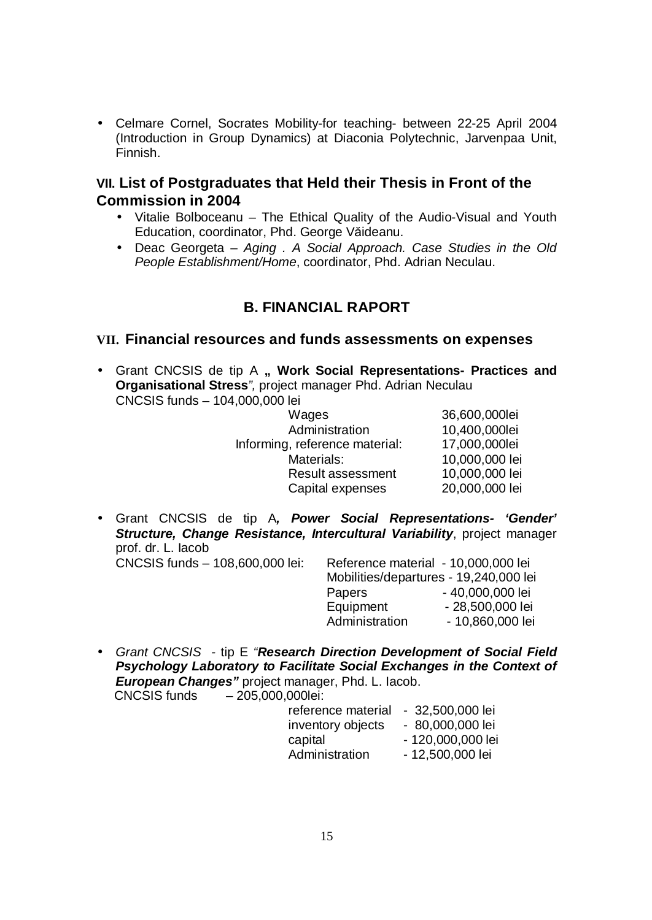• Celmare Cornel, Socrates Mobility-for teaching- between 22-25 April 2004 (Introduction in Group Dynamics) at Diaconia Polytechnic, Jarvenpaa Unit, Finnish.

## **VII. List of Postgraduates that Held their Thesis in Front of the Commission in 2004**

- Vitalie Bolboceanu The Ethical Quality of the Audio-Visual and Youth Education, coordinator, Phd. George Văideanu.
- Deac Georgeta *Aging . A Social Approach. Case Studies in the Old People Establishment/Home*, coordinator, Phd. Adrian Neculau.

# **B. FINANCIAL RAPORT**

## **VII. Financial resources and funds assessments on expenses**

• Grant CNCSIS de tip A **" Work Social Representations- Practices and Organisational Stress***",* project manager Phd. Adrian Neculau CNCSIS funds – 104,000,000 lei

| Wages                          | 36,600,000lei  |
|--------------------------------|----------------|
| Administration                 | 10,400,000lei  |
| Informing, reference material: | 17,000,000lei  |
| Materials:                     | 10,000,000 lei |
| <b>Result assessment</b>       | 10,000,000 lei |
| Capital expenses               | 20,000,000 lei |
|                                |                |

• Grant CNCSIS de tip A*, Power Social Representations- 'Gender' Structure, Change Resistance, Intercultural Variability*, project manager prof. dr. L. Iacob

- CNCSIS funds 108,600,000 lei: Reference material 10,000,000 lei Mobilities/departures - 19,240,000 lei Papers - 40,000,000 lei Equipment - 28,500,000 lei Administration - 10,860,000 lei
- *Grant CNCSIS* tip E *"Research Direction Development of Social Field Psychology Laboratory to Facilitate Social Exchanges in the Context of European Changes"* project manager, Phd. L. Iacob. CNCSIS funds – 205,000,000lei:

| - 32,500,000 lei  |
|-------------------|
| - 80,000,000 lei  |
| - 120,000,000 lei |
| - 12,500,000 lei  |
|                   |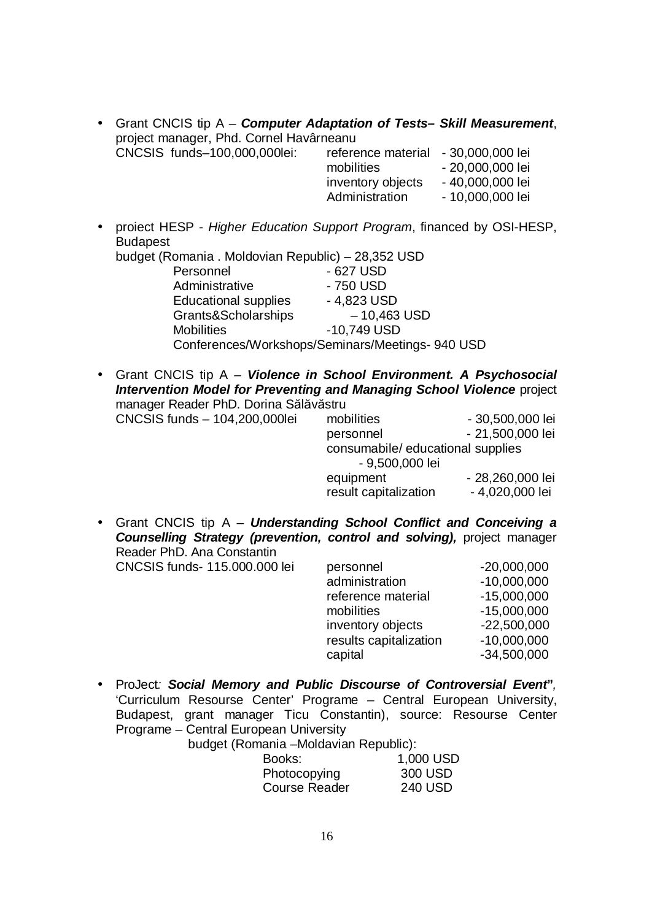| • Grant CNCIS tip A – <b>Computer Adaptation of Tests– Skill Measurement</b> , |                                     |                  |
|--------------------------------------------------------------------------------|-------------------------------------|------------------|
| project manager, Phd. Cornel Havârneanu                                        |                                     |                  |
| CNCSIS funds-100,000,000lei:                                                   | reference material - 30,000,000 lei |                  |
|                                                                                | mobilities                          | - 20,000,000 lei |
|                                                                                | inventory objects                   | - 40,000,000 lei |

• proiect HESP - *Higher Education Support Program*, financed by OSI-HESP, Budapest<br>budget (Re

Administration - 10,000,000 lei

| budget (Romania . Moldovian Republic) – 28,352 USD |
|----------------------------------------------------|
| - 627 USD                                          |
| - 750 USD                                          |
| $-4,823$ USD                                       |
| $-10,463$ USD                                      |
| -10,749 USD                                        |
| Conferences/Workshops/Seminars/Meetings- 940 USD   |
|                                                    |

• Grant CNCIS tip A *– Violence in School Environment. A Psychosocial Intervention Model for Preventing and Managing School Violence* project manager Reader PhD. Dorina Sălăvăstru

| mobilities                         | - 30,500,000 lei                    |
|------------------------------------|-------------------------------------|
| personnel                          | - 21,500,000 lei                    |
| - 9,500,000 lei                    |                                     |
| equipment<br>result capitalization | - 28,260,000 lei<br>- 4,020,000 lei |
|                                    | consumabile/educational supplies    |

• Grant CNCIS tip A *– Understanding School Conflict and Conceiving a Counselling Strategy (prevention, control and solving),* project manager Reader PhD. Ana Constantin

CNCSIS funds- 115.000.000 lei

| personnel              | $-20,000,000$ |
|------------------------|---------------|
| administration         | $-10,000,000$ |
| reference material     | $-15,000,000$ |
| mobilities             | $-15,000,000$ |
| inventory objects      | $-22,500,000$ |
| results capitalization | $-10,000,000$ |
| capital                | $-34,500,000$ |

• ProJect*: Social Memory and Public Discourse of Controversial Event***"***,*  'Curriculum Resourse Center' Programe – Central European University, Budapest, grant manager Ticu Constantin), source: Resourse Center Programe – Central European University

| budget (Romania - Moldavian Republic): |  |
|----------------------------------------|--|
|----------------------------------------|--|

| Books:        | 1,000 USD      |
|---------------|----------------|
| Photocopying  | 300 USD        |
| Course Reader | <b>240 USD</b> |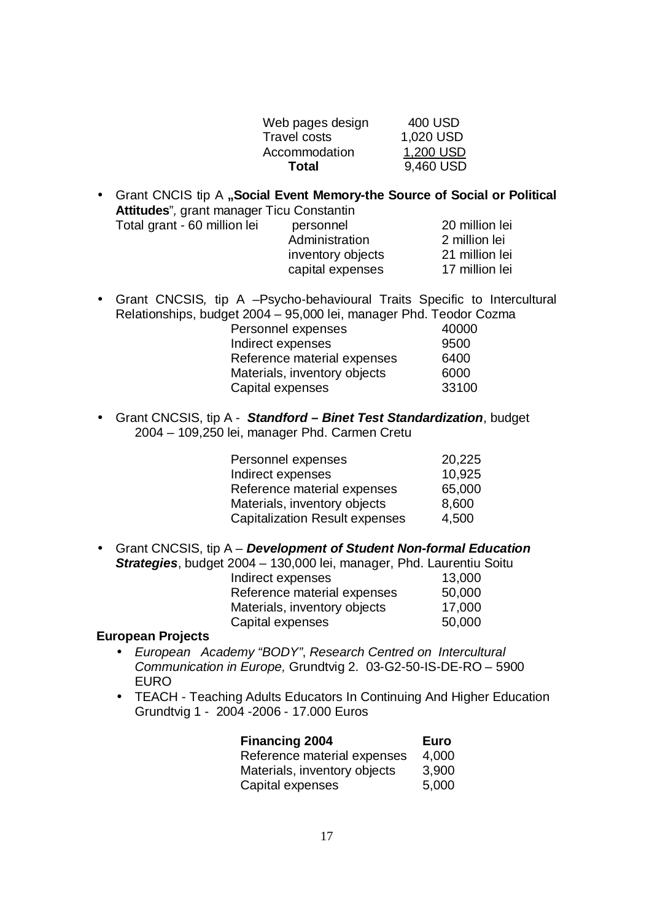| Web pages design    | 400 USD   |
|---------------------|-----------|
| <b>Travel costs</b> | 1,020 USD |
| Accommodation       | 1,200 USD |
| Total               | 9,460 USD |
|                     |           |

| Attitudes", grant manager Ticu Constantin |                   | • Grant CNCIS tip A "Social Event Memory-the Source of Social or Political |
|-------------------------------------------|-------------------|----------------------------------------------------------------------------|
| Total grant - 60 million lei              | personnel         | 20 million lei                                                             |
|                                           | Administration    | 2 million lei                                                              |
|                                           | inventory objects | 21 million lei                                                             |
|                                           | capital expenses  | 17 million lei                                                             |

- Grant CNCSIS*,* tip A –Psycho-behavioural Traits Specific to Intercultural Relationships, budget 2004 – 95,000 lei, manager Phd. Teodor Cozma Personnel expenses 40000 Indirect expenses 9500 Reference material expenses 6400 Materials, inventory objects 6000 Capital expenses 33100
- Grant CNCSIS, tip A *Standford – Binet Test Standardization*, budget 2004 – 109,250 lei, manager Phd. Carmen Cretu

| Personnel expenses                    | 20,225 |
|---------------------------------------|--------|
| Indirect expenses                     | 10,925 |
| Reference material expenses           | 65,000 |
| Materials, inventory objects          | 8,600  |
| <b>Capitalization Result expenses</b> | 4,500  |

• Grant CNCSIS, tip A – *Development of Student Non-formal Education Strategies*, budget 2004 – 130,000 lei, manager, Phd. Laurentiu Soitu Indirect expenses 13,000 Reference material expenses 50,000 Materials, inventory objects 17,000 Capital expenses 50,000

#### **European Projects**

- *European Academy "BODY"*, *Research Centred on Intercultural Communication in Europe,* Grundtvig 2. 03-G2-50-IS-DE-RO – 5900 EURO
- TEACH Teaching Adults Educators In Continuing And Higher Education Grundtvig 1 - 2004 -2006 - 17.000 Euros

| <b>Financing 2004</b>        | Euro  |
|------------------------------|-------|
| Reference material expenses  | 4,000 |
| Materials, inventory objects | 3,900 |
| Capital expenses             | 5,000 |